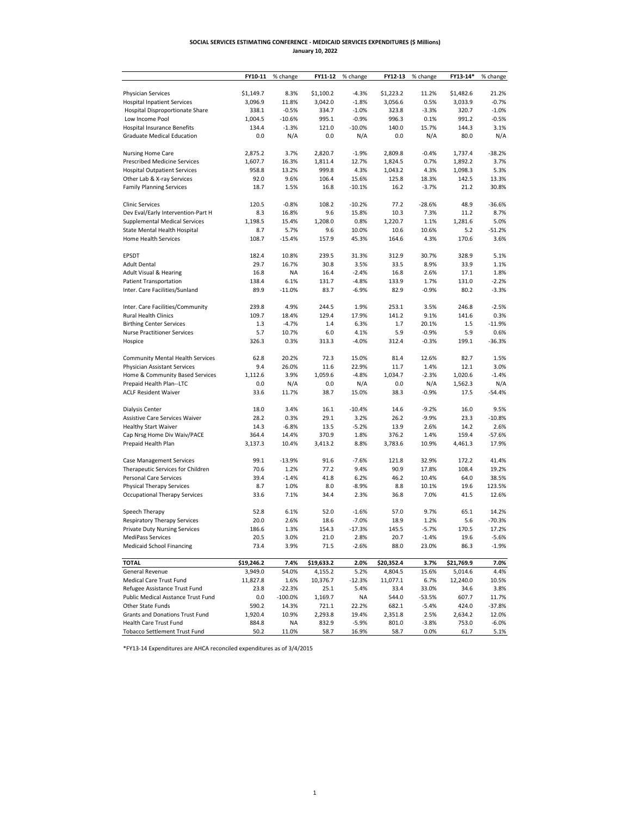## **January 10, 2022 SOCIAL SERVICES ESTIMATING CONFERENCE - MEDICAID SERVICES EXPENDITURES (\$ Millions)**

|                                                       | FY10-11      | % change     | FY11-12    | % change           | FY12-13      | % change     | FY13-14*    | % change          |
|-------------------------------------------------------|--------------|--------------|------------|--------------------|--------------|--------------|-------------|-------------------|
|                                                       |              |              |            |                    |              |              |             |                   |
| <b>Physician Services</b>                             | \$1,149.7    | 8.3%         | \$1,100.2  | $-4.3%$            | \$1,223.2    | 11.2%        | \$1,482.6   | 21.2%             |
| <b>Hospital Inpatient Services</b>                    | 3,096.9      | 11.8%        | 3,042.0    | $-1.8%$            | 3,056.6      | 0.5%         | 3,033.9     | $-0.7%$           |
| Hospital Disproportionate Share                       | 338.1        | $-0.5%$      | 334.7      | $-1.0%$            | 323.8        | $-3.3%$      | 320.7       | $-1.0%$           |
| Low Income Pool                                       | 1,004.5      | $-10.6%$     | 995.1      | $-0.9%$            | 996.3        | 0.1%         | 991.2       | $-0.5%$           |
| Hospital Insurance Benefits                           | 134.4        | $-1.3%$      | 121.0      | $-10.0%$           | 140.0        | 15.7%        | 144.3       | 3.1%              |
| <b>Graduate Medical Education</b>                     | 0.0          | N/A          | 0.0        | N/A                | 0.0          | N/A          | 80.0        | N/A               |
| <b>Nursing Home Care</b>                              | 2,875.2      | 3.7%         | 2,820.7    | $-1.9%$            | 2,809.8      | $-0.4%$      | 1,737.4     | $-38.2%$          |
| <b>Prescribed Medicine Services</b>                   | 1,607.7      | 16.3%        | 1,811.4    | 12.7%              | 1,824.5      | 0.7%         | 1,892.2     | 3.7%              |
| <b>Hospital Outpatient Services</b>                   | 958.8        | 13.2%        | 999.8      | 4.3%               | 1,043.2      | 4.3%         | 1,098.3     | 5.3%              |
| Other Lab & X-ray Services                            | 92.0         | 9.6%         | 106.4      | 15.6%              | 125.8        | 18.3%        | 142.5       | 13.3%             |
| <b>Family Planning Services</b>                       | 18.7         | 1.5%         | 16.8       | $-10.1%$           | 16.2         | $-3.7%$      | 21.2        | 30.8%             |
|                                                       |              |              |            |                    |              |              |             |                   |
| <b>Clinic Services</b>                                | 120.5        | $-0.8%$      | 108.2      | $-10.2%$           | 77.2         | $-28.6%$     | 48.9        | $-36.6%$          |
| Dev Eval/Early Intervention-Part H                    | 8.3          | 16.8%        | 9.6        | 15.8%              | 10.3         | 7.3%         | 11.2        | 8.7%              |
| <b>Supplemental Medical Services</b>                  | 1,198.5      | 15.4%        | 1,208.0    | 0.8%               | 1,220.7      | 1.1%         | 1,281.6     | 5.0%              |
| State Mental Health Hospital                          | 8.7          | 5.7%         | 9.6        | 10.0%              | 10.6         | 10.6%        | 5.2         | $-51.2%$          |
| <b>Home Health Services</b>                           | 108.7        | $-15.4%$     | 157.9      | 45.3%              | 164.6        | 4.3%         | 170.6       | 3.6%              |
| <b>EPSDT</b>                                          | 182.4        | 10.8%        | 239.5      |                    | 312.9        | 30.7%        | 328.9       | 5.1%              |
| <b>Adult Dental</b>                                   | 29.7         | 16.7%        | 30.8       | 31.3%<br>3.5%      | 33.5         | 8.9%         | 33.9        | 1.1%              |
| <b>Adult Visual &amp; Hearing</b>                     | 16.8         | ΝA           | 16.4       | $-2.4%$            | 16.8         | 2.6%         | 17.1        | 1.8%              |
| <b>Patient Transportation</b>                         | 138.4        | 6.1%         | 131.7      | $-4.8%$            | 133.9        | 1.7%         | 131.0       | $-2.2%$           |
| Inter. Care Facilities/Sunland                        | 89.9         | $-11.0%$     | 83.7       | -6.9%              | 82.9         | $-0.9%$      | 80.2        | -3.3%             |
|                                                       |              |              |            |                    |              |              |             |                   |
| Inter. Care Facilities/Community                      | 239.8        | 4.9%         | 244.5      | 1.9%               | 253.1        | 3.5%         | 246.8       | $-2.5%$           |
| <b>Rural Health Clinics</b>                           | 109.7        | 18.4%        | 129.4      | 17.9%              | 141.2        | 9.1%         | 141.6       | 0.3%              |
| <b>Birthing Center Services</b>                       | 1.3          | $-4.7%$      | 1.4        | 6.3%               | 1.7          | 20.1%        | 1.5         | $-11.9%$          |
| <b>Nurse Practitioner Services</b>                    | 5.7          | 10.7%        | 6.0        | 4.1%               | 5.9          | $-0.9%$      | 5.9         | 0.6%              |
| Hospice                                               | 326.3        | 0.3%         | 313.3      | $-4.0%$            | 312.4        | $-0.3%$      | 199.1       | $-36.3%$          |
|                                                       |              |              |            |                    |              |              |             |                   |
| <b>Community Mental Health Services</b>               | 62.8         | 20.2%        | 72.3       | 15.0%              | 81.4         | 12.6%        | 82.7        | 1.5%              |
| Physician Assistant Services                          | 9.4          | 26.0%        | 11.6       | 22.9%              | 11.7         | 1.4%         | 12.1        | 3.0%              |
| Home & Community Based Services                       | 1,112.6      | 3.9%         | 1,059.6    | $-4.8%$            | 1,034.7      | $-2.3%$      | 1,020.6     | $-1.4%$           |
| Prepaid Health Plan--LTC                              | 0.0          | N/A          | 0.0        | N/A                | 0.0          | N/A          | 1,562.3     | N/A               |
| <b>ACLF Resident Waiver</b>                           | 33.6         | 11.7%        | 38.7       | 15.0%              | 38.3         | $-0.9%$      | 17.5        | $-54.4%$          |
| Dialysis Center                                       | 18.0         | 3.4%         | 16.1       | $-10.4%$           | 14.6         | $-9.2%$      | 16.0        | 9.5%              |
| Assistive Care Services Waiver                        | 28.2         | 0.3%         | 29.1       | 3.2%               | 26.2         | $-9.9%$      | 23.3        | $-10.8%$          |
| <b>Healthy Start Waiver</b>                           | 14.3         | $-6.8%$      | 13.5       | $-5.2%$            | 13.9         | 2.6%         | 14.2        | 2.6%              |
| Cap Nrsg Home Div Waiv/PACE                           | 364.4        | 14.4%        | 370.9      | 1.8%               | 376.2        | 1.4%         | 159.4       | $-57.6%$          |
| Prepaid Health Plan                                   | 3,137.3      | 10.4%        | 3,413.2    | 8.8%               | 3,783.6      | 10.9%        | 4,461.3     | 17.9%             |
|                                                       |              |              |            |                    |              |              |             |                   |
| <b>Case Management Services</b>                       | 99.1         | $-13.9%$     | 91.6       | $-7.6%$            | 121.8        | 32.9%        | 172.2       | 41.4%             |
| Therapeutic Services for Children                     | 70.6         | 1.2%         | 77.2       | 9.4%               | 90.9         | 17.8%        | 108.4       | 19.2%             |
| Personal Care Services                                | 39.4         | $-1.4%$      | 41.8       | 6.2%               | 46.2         | 10.4%        | 64.0        | 38.5%             |
| <b>Physical Therapy Services</b>                      | 8.7          | 1.0%         | 8.0        | -8.9%              | 8.8          | 10.1%        | 19.6        | 123.5%            |
| <b>Occupational Therapy Services</b>                  | 33.6         | 7.1%         | 34.4       | 2.3%               | 36.8         | 7.0%         | 41.5        | 12.6%             |
|                                                       |              |              |            |                    |              |              |             |                   |
| Speech Therapy                                        | 52.8<br>20.0 | 6.1%<br>2.6% | 52.0       | $-1.6%$<br>$-7.0%$ | 57.0<br>18.9 | 9.7%<br>1.2% | 65.1<br>5.6 | 14.2%<br>$-70.3%$ |
| Respiratory Therapy Services                          |              |              | 18.6       |                    |              |              |             |                   |
| <b>Private Duty Nursing Services</b>                  | 186.6        | 1.3%         | 154.3      | $-17.3%$           | 145.5        | $-5.7%$      | 170.5       | 17.2%             |
| MediPass Services<br><b>Medicaid School Financing</b> | 20.5<br>73.4 | 3.0%<br>3.9% | 21.0       | 2.8%               | 20.7         | $-1.4%$      | 19.6        | $-5.6%$           |
|                                                       |              |              | 71.5       | $-2.6%$            | 88.0         | 23.0%        | 86.3        | $-1.9%$           |
| <b>TOTAL</b>                                          | \$19,246.2   | 7.4%         | \$19,633.2 | 2.0%               | \$20,352.4   | 3.7%         | \$21,769.9  | 7.0%              |
| General Revenue                                       | 3,949.0      | 54.0%        | 4,155.2    | 5.2%               | 4,804.5      | 15.6%        | 5,014.6     | 4.4%              |
| Medical Care Trust Fund                               | 11,827.8     | 1.6%         | 10,376.7   | $-12.3%$           | 11,077.1     | 6.7%         | 12,240.0    | 10.5%             |
| Refugee Assistance Trust Fund                         | 23.8         | $-22.3%$     | 25.1       | 5.4%               | 33.4         | 33.0%        | 34.6        | 3.8%              |
| Public Medical Asstance Trust Fund                    | 0.0          | $-100.0%$    | 1,169.7    | ΝA                 | 544.0        | -53.5%       | 607.7       | 11.7%             |
| Other State Funds                                     | 590.2        | 14.3%        | 721.1      | 22.2%              | 682.1        | $-5.4%$      | 424.0       | $-37.8%$          |
| Grants and Donations Trust Fund                       | 1,920.4      | 10.9%        | 2,293.8    | 19.4%              | 2,351.8      | 2.5%         | 2,634.2     | 12.0%             |
| Health Care Trust Fund                                | 884.8        | NA           | 832.9      | $-5.9%$            | 801.0        | $-3.8%$      | 753.0       | $-6.0%$           |
| <b>Tobacco Settlement Trust Fund</b>                  | 50.2         | 11.0%        | 58.7       | 16.9%              | 58.7         | 0.0%         | 61.7        | 5.1%              |

\*FY13-14 Expenditures are AHCA reconciled expenditures as of 3/4/2015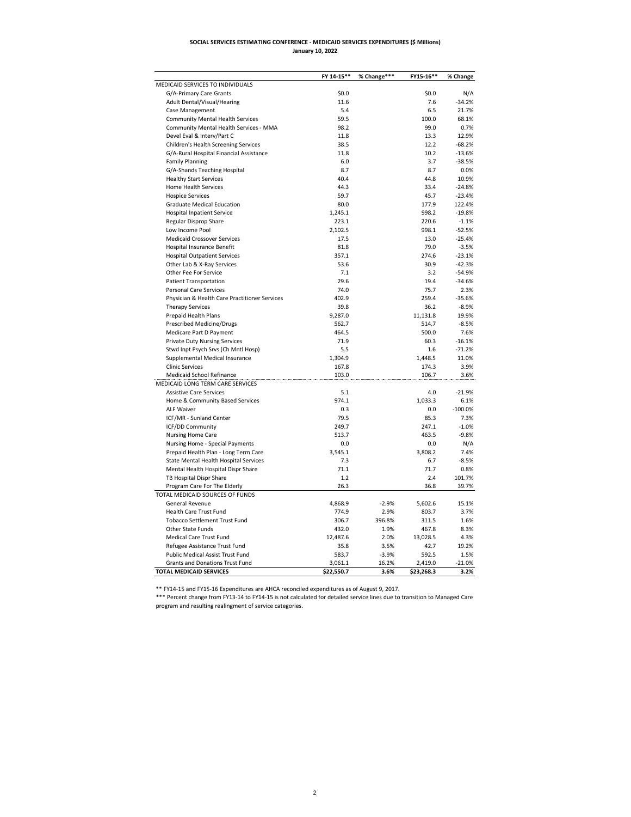## **SOCIAL SERVICES ESTIMATING CONFERENCE - MEDICAID SERVICES EXPENDITURES (\$ Millions) January 10, 2022**

|                                                               | FY 14-15** | % Change*** | FY15-16**  | % Change  |
|---------------------------------------------------------------|------------|-------------|------------|-----------|
| MEDICAID SERVICES TO INDIVIDUALS                              |            |             |            |           |
| G/A-Primary Care Grants                                       | \$0.0      |             | \$0.0      | N/A       |
| Adult Dental/Visual/Hearing                                   | 11.6       |             | 7.6        | $-34.2%$  |
| Case Management                                               | 5.4        |             | 6.5        | 21.7%     |
| <b>Community Mental Health Services</b>                       | 59.5       |             | 100.0      | 68.1%     |
| Community Mental Health Services - MMA                        | 98.2       |             | 99.0       | 0.7%      |
| Devel Eval & Interv/Part C                                    | 11.8       |             | 13.3       | 12.9%     |
| Children's Health Screening Services                          | 38.5       |             | 12.2       | $-68.2%$  |
| G/A-Rural Hospital Financial Assistance                       | 11.8       |             | 10.2       | $-13.6%$  |
| <b>Family Planning</b>                                        | 6.0        |             | 3.7        | $-38.5%$  |
| G/A-Shands Teaching Hospital                                  | 8.7        |             | 8.7        | 0.0%      |
| <b>Healthy Start Services</b>                                 | 40.4       |             | 44.8       | 10.9%     |
| Home Health Services                                          | 44.3       |             | 33.4       | $-24.8%$  |
| <b>Hospice Services</b>                                       | 59.7       |             | 45.7       | $-23.4%$  |
| <b>Graduate Medical Education</b>                             | 80.0       |             | 177.9      | 122.4%    |
| <b>Hospital Inpatient Service</b>                             | 1,245.1    |             | 998.2      | $-19.8%$  |
| Regular Disprop Share                                         | 223.1      |             | 220.6      | $-1.1%$   |
| Low Income Pool                                               | 2,102.5    |             | 998.1      | $-52.5%$  |
| <b>Medicaid Crossover Services</b>                            | 17.5       |             | 13.0       | $-25.4%$  |
| Hospital Insurance Benefit                                    | 81.8       |             | 79.0       | $-3.5%$   |
|                                                               | 357.1      |             | 274.6      | $-23.1%$  |
| <b>Hospital Outpatient Services</b>                           | 53.6       |             |            |           |
| Other Lab & X-Ray Services                                    |            |             | 30.9       | $-42.3%$  |
| Other Fee For Service                                         | 7.1        |             | 3.2        | $-54.9%$  |
| <b>Patient Transportation</b>                                 | 29.6       |             | 19.4       | $-34.6%$  |
| Personal Care Services                                        | 74.0       |             | 75.7       | 2.3%      |
| Physician & Health Care Practitioner Services                 | 402.9      |             | 259.4      | $-35.6%$  |
| <b>Therapy Services</b>                                       | 39.8       |             | 36.2       | $-8.9%$   |
| Prepaid Health Plans                                          | 9,287.0    |             | 11,131.8   | 19.9%     |
| Prescribed Medicine/Drugs                                     | 562.7      |             | 514.7      | $-8.5%$   |
| Medicare Part D Payment                                       | 464.5      |             | 500.0      | 7.6%      |
| <b>Private Duty Nursing Services</b>                          | 71.9       |             | 60.3       | $-16.1%$  |
| Stwd Inpt Psych Srvs (Ch Mntl Hosp)                           | 5.5        |             | 1.6        | $-71.2%$  |
| Supplemental Medical Insurance                                | 1,304.9    |             | 1,448.5    | 11.0%     |
| <b>Clinic Services</b>                                        | 167.8      |             | 174.3      | 3.9%      |
| Medicaid School Refinance<br>MEDICAID LONG TERM CARE SERVICES | 103.0      |             | 106.7      | 3.6%      |
| <b>Assistive Care Services</b>                                | 5.1        |             | 4.0        | $-21.9%$  |
| Home & Community Based Services                               | 974.1      |             | 1,033.3    | 6.1%      |
| <b>ALF Waiver</b>                                             | 0.3        |             | 0.0        | $-100.0%$ |
| ICF/MR - Sunland Center                                       | 79.5       |             | 85.3       | 7.3%      |
| ICF/DD Community                                              | 249.7      |             | 247.1      | $-1.0%$   |
| Nursing Home Care                                             | 513.7      |             | 463.5      | $-9.8%$   |
| Nursing Home - Special Payments                               | 0.0        |             | 0.0        | N/A       |
| Prepaid Health Plan - Long Term Care                          | 3,545.1    |             | 3,808.2    | 7.4%      |
| State Mental Health Hospital Services                         | 7.3        |             | 6.7        | $-8.5%$   |
| Mental Health Hospital Dispr Share                            | 71.1       |             | 71.7       | 0.8%      |
| TB Hospital Dispr Share                                       | 1.2        |             | 2.4        | 101.7%    |
| Program Care For The Elderly                                  | 26.3       |             | 36.8       | 39.7%     |
| TOTAL MEDICAID SOURCES OF FUNDS                               |            |             |            |           |
| General Revenue                                               | 4,868.9    | $-2.9%$     | 5,602.6    | 15.1%     |
| <b>Health Care Trust Fund</b>                                 | 774.9      | 2.9%        | 803.7      | 3.7%      |
| <b>Tobacco Settlement Trust Fund</b>                          | 306.7      | 396.8%      | 311.5      | 1.6%      |
| Other State Funds                                             | 432.0      | 1.9%        | 467.8      | 8.3%      |
| Medical Care Trust Fund                                       | 12,487.6   | 2.0%        | 13,028.5   | 4.3%      |
| Refugee Assistance Trust Fund                                 | 35.8       | 3.5%        | 42.7       | 19.2%     |
| Public Medical Assist Trust Fund                              | 583.7      | $-3.9%$     | 592.5      | 1.5%      |
| Grants and Donations Trust Fund                               | 3,061.1    | 16.2%       | 2,419.0    | $-21.0%$  |
| <b>TOTAL MEDICAID SERVICES</b>                                | \$22,550.7 | 3.6%        | \$23,268.3 | 3.2%      |

\*\* FY14-15 and FY15-16 Expenditures are AHCA reconciled expenditures as of August 9, 2017.

\*\*\* Percent change from FY13-14 to FY14-15 is not calculated for detailed service lines due to transition to Managed Care program and resulting realingment of service categories.